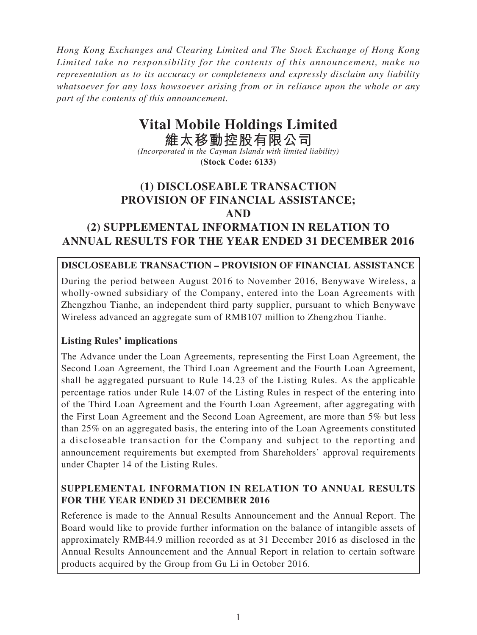*Hong Kong Exchanges and Clearing Limited and The Stock Exchange of Hong Kong Limited take no responsibility for the contents of this announcement, make no representation as to its accuracy or completeness and expressly disclaim any liability whatsoever for any loss howsoever arising from or in reliance upon the whole or any part of the contents of this announcement.*

# **Vital Mobile Holdings Limited**

**維太移動控股有限公司** *(Incorporated in the Cayman Islands with limited liability)* **(Stock Code: 6133)**

## **(1) DISCLOSEABLE TRANSACTION PROVISION OF FINANCIAL ASSISTANCE; AND**

## **(2) SUPPLEMENTAL INFORMATION IN RELATION TO ANNUAL RESULTS FOR THE YEAR ENDED 31 DECEMBER 2016**

## **DISCLOSEABLE TRANSACTION – PROVISION OF FINANCIAL ASSISTANCE**

During the period between August 2016 to November 2016, Benywave Wireless, a wholly-owned subsidiary of the Company, entered into the Loan Agreements with Zhengzhou Tianhe, an independent third party supplier, pursuant to which Benywave Wireless advanced an aggregate sum of RMB107 million to Zhengzhou Tianhe.

## **Listing Rules' implications**

The Advance under the Loan Agreements, representing the First Loan Agreement, the Second Loan Agreement, the Third Loan Agreement and the Fourth Loan Agreement, shall be aggregated pursuant to Rule 14.23 of the Listing Rules. As the applicable percentage ratios under Rule 14.07 of the Listing Rules in respect of the entering into of the Third Loan Agreement and the Fourth Loan Agreement, after aggregating with the First Loan Agreement and the Second Loan Agreement, are more than 5% but less than 25% on an aggregated basis, the entering into of the Loan Agreements constituted a discloseable transaction for the Company and subject to the reporting and announcement requirements but exempted from Shareholders' approval requirements under Chapter 14 of the Listing Rules.

## **SUPPLEMENTAL INFORMATION IN RELATION TO ANNUAL RESULTS FOR THE YEAR ENDED 31 DECEMBER 2016**

Reference is made to the Annual Results Announcement and the Annual Report. The Board would like to provide further information on the balance of intangible assets of approximately RMB44.9 million recorded as at 31 December 2016 as disclosed in the Annual Results Announcement and the Annual Report in relation to certain software products acquired by the Group from Gu Li in October 2016.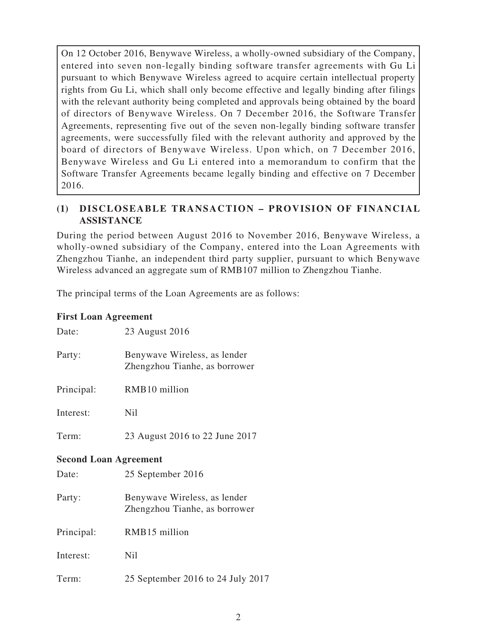On 12 October 2016, Benywave Wireless, a wholly-owned subsidiary of the Company, entered into seven non-legally binding software transfer agreements with Gu Li pursuant to which Benywave Wireless agreed to acquire certain intellectual property rights from Gu Li, which shall only become effective and legally binding after filings with the relevant authority being completed and approvals being obtained by the board of directors of Benywave Wireless. On 7 December 2016, the Software Transfer Agreements, representing five out of the seven non-legally binding software transfer agreements, were successfully filed with the relevant authority and approved by the board of directors of Benywave Wireless. Upon which, on 7 December 2016, Benywave Wireless and Gu Li entered into a memorandum to confirm that the Software Transfer Agreements became legally binding and effective on 7 December 2016.

## **(1) DISCLOSEABLE TRANSACTION – PROVISION OF FINANCIAL ASSISTANCE**

During the period between August 2016 to November 2016, Benywave Wireless, a wholly-owned subsidiary of the Company, entered into the Loan Agreements with Zhengzhou Tianhe, an independent third party supplier, pursuant to which Benywave Wireless advanced an aggregate sum of RMB107 million to Zhengzhou Tianhe.

The principal terms of the Loan Agreements are as follows:

### **First Loan Agreement**

| Date:                        | 23 August 2016                                                |
|------------------------------|---------------------------------------------------------------|
| Party:                       | Benywave Wireless, as lender<br>Zhengzhou Tianhe, as borrower |
| Principal:                   | RMB10 million                                                 |
| Interest:                    | Nil                                                           |
| Term:                        | 23 August 2016 to 22 June 2017                                |
| <b>Second Loan Agreement</b> |                                                               |
| Date:                        | 25 September 2016                                             |
| Party:                       | Benywave Wireless, as lender<br>Zhengzhou Tianhe, as borrower |
| Principal:                   | RMB15 million                                                 |
| Interest:                    | <b>Nil</b>                                                    |
| Term:                        | 25 September 2016 to 24 July 2017                             |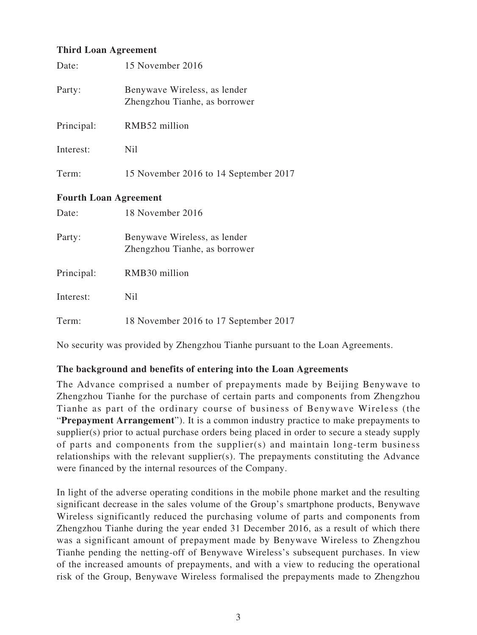## **Third Loan Agreement**

| Date:                        | 15 November 2016                                              |  |
|------------------------------|---------------------------------------------------------------|--|
| Party:                       | Benywave Wireless, as lender<br>Zhengzhou Tianhe, as borrower |  |
| Principal:                   | RMB52 million                                                 |  |
| Interest:                    | Nil                                                           |  |
| Term:                        | 15 November 2016 to 14 September 2017                         |  |
| <b>Fourth Loan Agreement</b> |                                                               |  |
| Date:                        | 18 November 2016                                              |  |
| Party:                       | Benywave Wireless, as lender<br>Zhengzhou Tianhe, as borrower |  |
| Principal:                   | RMB30 million                                                 |  |
| Interest:                    | Nil                                                           |  |
| Term:                        | 18 November 2016 to 17 September 2017                         |  |

No security was provided by Zhengzhou Tianhe pursuant to the Loan Agreements.

### **The background and benefits of entering into the Loan Agreements**

The Advance comprised a number of prepayments made by Beijing Benywave to Zhengzhou Tianhe for the purchase of certain parts and components from Zhengzhou Tianhe as part of the ordinary course of business of Benywave Wireless (the "**Prepayment Arrangement**"). It is a common industry practice to make prepayments to supplier(s) prior to actual purchase orders being placed in order to secure a steady supply of parts and components from the supplier(s) and maintain long-term business relationships with the relevant supplier(s). The prepayments constituting the Advance were financed by the internal resources of the Company.

In light of the adverse operating conditions in the mobile phone market and the resulting significant decrease in the sales volume of the Group's smartphone products, Benywave Wireless significantly reduced the purchasing volume of parts and components from Zhengzhou Tianhe during the year ended 31 December 2016, as a result of which there was a significant amount of prepayment made by Benywave Wireless to Zhengzhou Tianhe pending the netting-off of Benywave Wireless's subsequent purchases. In view of the increased amounts of prepayments, and with a view to reducing the operational risk of the Group, Benywave Wireless formalised the prepayments made to Zhengzhou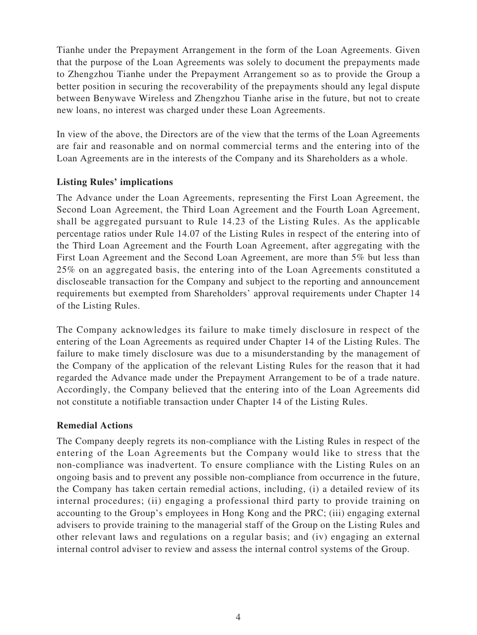Tianhe under the Prepayment Arrangement in the form of the Loan Agreements. Given that the purpose of the Loan Agreements was solely to document the prepayments made to Zhengzhou Tianhe under the Prepayment Arrangement so as to provide the Group a better position in securing the recoverability of the prepayments should any legal dispute between Benywave Wireless and Zhengzhou Tianhe arise in the future, but not to create new loans, no interest was charged under these Loan Agreements.

In view of the above, the Directors are of the view that the terms of the Loan Agreements are fair and reasonable and on normal commercial terms and the entering into of the Loan Agreements are in the interests of the Company and its Shareholders as a whole.

## **Listing Rules' implications**

The Advance under the Loan Agreements, representing the First Loan Agreement, the Second Loan Agreement, the Third Loan Agreement and the Fourth Loan Agreement, shall be aggregated pursuant to Rule 14.23 of the Listing Rules. As the applicable percentage ratios under Rule 14.07 of the Listing Rules in respect of the entering into of the Third Loan Agreement and the Fourth Loan Agreement, after aggregating with the First Loan Agreement and the Second Loan Agreement, are more than 5% but less than 25% on an aggregated basis, the entering into of the Loan Agreements constituted a discloseable transaction for the Company and subject to the reporting and announcement requirements but exempted from Shareholders' approval requirements under Chapter 14 of the Listing Rules.

The Company acknowledges its failure to make timely disclosure in respect of the entering of the Loan Agreements as required under Chapter 14 of the Listing Rules. The failure to make timely disclosure was due to a misunderstanding by the management of the Company of the application of the relevant Listing Rules for the reason that it had regarded the Advance made under the Prepayment Arrangement to be of a trade nature. Accordingly, the Company believed that the entering into of the Loan Agreements did not constitute a notifiable transaction under Chapter 14 of the Listing Rules.

### **Remedial Actions**

The Company deeply regrets its non-compliance with the Listing Rules in respect of the entering of the Loan Agreements but the Company would like to stress that the non-compliance was inadvertent. To ensure compliance with the Listing Rules on an ongoing basis and to prevent any possible non-compliance from occurrence in the future, the Company has taken certain remedial actions, including, (i) a detailed review of its internal procedures; (ii) engaging a professional third party to provide training on accounting to the Group's employees in Hong Kong and the PRC; (iii) engaging external advisers to provide training to the managerial staff of the Group on the Listing Rules and other relevant laws and regulations on a regular basis; and (iv) engaging an external internal control adviser to review and assess the internal control systems of the Group.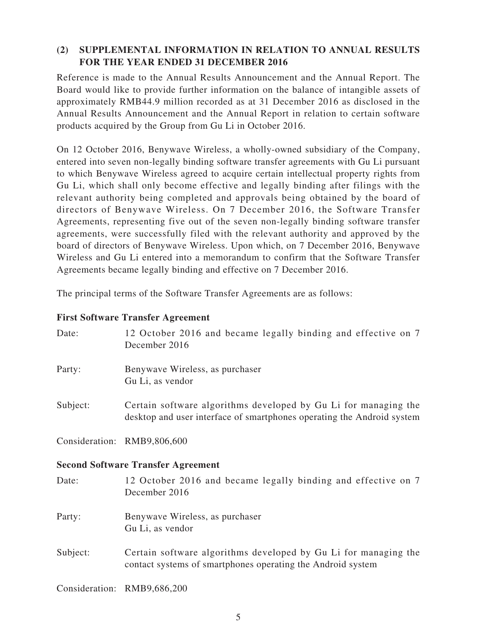## **(2) SUPPLEMENTAL INFORMATION IN RELATION TO ANNUAL RESULTS FOR THE YEAR ENDED 31 DECEMBER 2016**

Reference is made to the Annual Results Announcement and the Annual Report. The Board would like to provide further information on the balance of intangible assets of approximately RMB44.9 million recorded as at 31 December 2016 as disclosed in the Annual Results Announcement and the Annual Report in relation to certain software products acquired by the Group from Gu Li in October 2016.

On 12 October 2016, Benywave Wireless, a wholly-owned subsidiary of the Company, entered into seven non-legally binding software transfer agreements with Gu Li pursuant to which Benywave Wireless agreed to acquire certain intellectual property rights from Gu Li, which shall only become effective and legally binding after filings with the relevant authority being completed and approvals being obtained by the board of directors of Benywave Wireless. On 7 December 2016, the Software Transfer Agreements, representing five out of the seven non-legally binding software transfer agreements, were successfully filed with the relevant authority and approved by the board of directors of Benywave Wireless. Upon which, on 7 December 2016, Benywave Wireless and Gu Li entered into a memorandum to confirm that the Software Transfer Agreements became legally binding and effective on 7 December 2016.

The principal terms of the Software Transfer Agreements are as follows:

#### **First Software Transfer Agreement**

| Date:    | 12 October 2016 and became legally binding and effective on 7<br>December 2016                                                            |
|----------|-------------------------------------------------------------------------------------------------------------------------------------------|
| Party:   | Benywave Wireless, as purchaser<br>Gu Li, as vendor                                                                                       |
| Subject: | Certain software algorithms developed by Gu Li for managing the<br>desktop and user interface of smartphones operating the Android system |
|          | Consideration: RMB9,806,600                                                                                                               |
|          | <b>Second Software Transfer Agreement</b>                                                                                                 |
| Date:    |                                                                                                                                           |
|          | 12 October 2016 and became legally binding and effective on 7<br>December 2016                                                            |
| Party:   | Benywave Wireless, as purchaser<br>Gu Li, as vendor                                                                                       |

Consideration: RMB9,686,200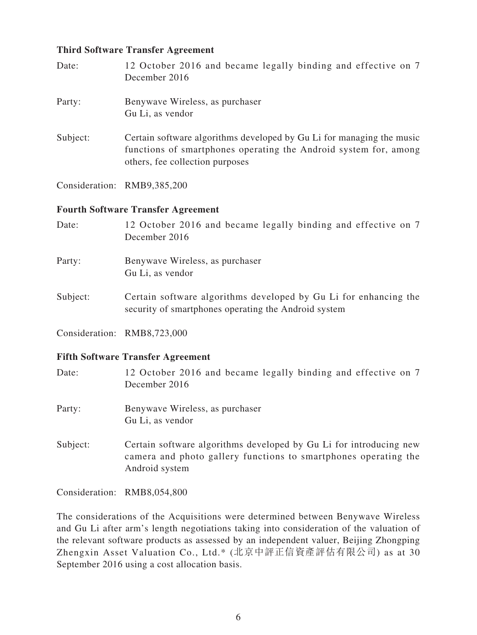#### **Third Software Transfer Agreement**

| Date:    | 12 October 2016 and became legally binding and effective on 7<br>December 2016                                                                                               |
|----------|------------------------------------------------------------------------------------------------------------------------------------------------------------------------------|
| Party:   | Benywave Wireless, as purchaser<br>Gu Li, as vendor                                                                                                                          |
| Subject: | Certain software algorithms developed by Gu Li for managing the music<br>functions of smartphones operating the Android system for, among<br>others, fee collection purposes |
|          | Consideration: RMB9,385,200                                                                                                                                                  |
|          | <b>Fourth Software Transfer Agreement</b>                                                                                                                                    |
| Date:    | 12 October 2016 and became legally binding and effective on 7<br>December 2016                                                                                               |

Party: Benywave Wireless, as purchaser Gu Li, as vendor

Subject: Certain software algorithms developed by Gu Li for enhancing the security of smartphones operating the Android system

Consideration: RMB8,723,000

#### **Fifth Software Transfer Agreement**

| Date:    | 12 October 2016 and became legally binding and effective on 7<br>December 2016                                                                          |
|----------|---------------------------------------------------------------------------------------------------------------------------------------------------------|
| Party:   | Benywave Wireless, as purchaser<br>Gu Li, as vendor                                                                                                     |
| Subject: | Certain software algorithms developed by Gu Li for introducing new<br>camera and photo gallery functions to smartphones operating the<br>Android system |

Consideration: RMB8,054,800

The considerations of the Acquisitions were determined between Benywave Wireless and Gu Li after arm's length negotiations taking into consideration of the valuation of the relevant software products as assessed by an independent valuer, Beijing Zhongping Zhengxin Asset Valuation Co., Ltd.\* (北京中評正信資產評估有限公司) as at 30 September 2016 using a cost allocation basis.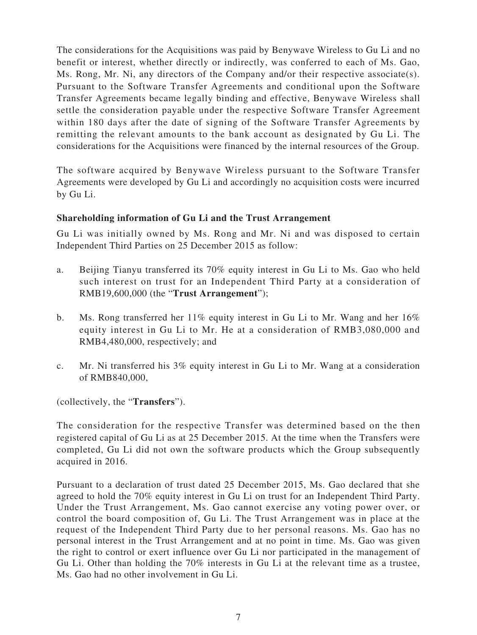The considerations for the Acquisitions was paid by Benywave Wireless to Gu Li and no benefit or interest, whether directly or indirectly, was conferred to each of Ms. Gao, Ms. Rong, Mr. Ni, any directors of the Company and/or their respective associate(s). Pursuant to the Software Transfer Agreements and conditional upon the Software Transfer Agreements became legally binding and effective, Benywave Wireless shall settle the consideration payable under the respective Software Transfer Agreement within 180 days after the date of signing of the Software Transfer Agreements by remitting the relevant amounts to the bank account as designated by Gu Li. The considerations for the Acquisitions were financed by the internal resources of the Group.

The software acquired by Benywave Wireless pursuant to the Software Transfer Agreements were developed by Gu Li and accordingly no acquisition costs were incurred by Gu Li.

### **Shareholding information of Gu Li and the Trust Arrangement**

Gu Li was initially owned by Ms. Rong and Mr. Ni and was disposed to certain Independent Third Parties on 25 December 2015 as follow:

- a. Beijing Tianyu transferred its 70% equity interest in Gu Li to Ms. Gao who held such interest on trust for an Independent Third Party at a consideration of RMB19,600,000 (the "**Trust Arrangement**");
- b. Ms. Rong transferred her  $11\%$  equity interest in Gu Li to Mr. Wang and her  $16\%$ equity interest in Gu Li to Mr. He at a consideration of RMB3,080,000 and RMB4,480,000, respectively; and
- c. Mr. Ni transferred his 3% equity interest in Gu Li to Mr. Wang at a consideration of RMB840,000,

(collectively, the "**Transfers**").

The consideration for the respective Transfer was determined based on the then registered capital of Gu Li as at 25 December 2015. At the time when the Transfers were completed, Gu Li did not own the software products which the Group subsequently acquired in 2016.

Pursuant to a declaration of trust dated 25 December 2015, Ms. Gao declared that she agreed to hold the 70% equity interest in Gu Li on trust for an Independent Third Party. Under the Trust Arrangement, Ms. Gao cannot exercise any voting power over, or control the board composition of, Gu Li. The Trust Arrangement was in place at the request of the Independent Third Party due to her personal reasons. Ms. Gao has no personal interest in the Trust Arrangement and at no point in time. Ms. Gao was given the right to control or exert influence over Gu Li nor participated in the management of Gu Li. Other than holding the 70% interests in Gu Li at the relevant time as a trustee, Ms. Gao had no other involvement in Gu Li.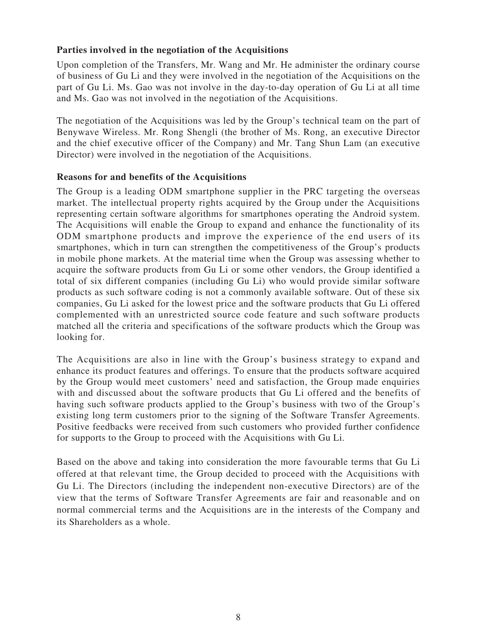## **Parties involved in the negotiation of the Acquisitions**

Upon completion of the Transfers, Mr. Wang and Mr. He administer the ordinary course of business of Gu Li and they were involved in the negotiation of the Acquisitions on the part of Gu Li. Ms. Gao was not involve in the day-to-day operation of Gu Li at all time and Ms. Gao was not involved in the negotiation of the Acquisitions.

The negotiation of the Acquisitions was led by the Group's technical team on the part of Benywave Wireless. Mr. Rong Shengli (the brother of Ms. Rong, an executive Director and the chief executive officer of the Company) and Mr. Tang Shun Lam (an executive Director) were involved in the negotiation of the Acquisitions.

#### **Reasons for and benefits of the Acquisitions**

The Group is a leading ODM smartphone supplier in the PRC targeting the overseas market. The intellectual property rights acquired by the Group under the Acquisitions representing certain software algorithms for smartphones operating the Android system. The Acquisitions will enable the Group to expand and enhance the functionality of its ODM smartphone products and improve the experience of the end users of its smartphones, which in turn can strengthen the competitiveness of the Group's products in mobile phone markets. At the material time when the Group was assessing whether to acquire the software products from Gu Li or some other vendors, the Group identified a total of six different companies (including Gu Li) who would provide similar software products as such software coding is not a commonly available software. Out of these six companies, Gu Li asked for the lowest price and the software products that Gu Li offered complemented with an unrestricted source code feature and such software products matched all the criteria and specifications of the software products which the Group was looking for.

The Acquisitions are also in line with the Group's business strategy to expand and enhance its product features and offerings. To ensure that the products software acquired by the Group would meet customers' need and satisfaction, the Group made enquiries with and discussed about the software products that Gu Li offered and the benefits of having such software products applied to the Group's business with two of the Group's existing long term customers prior to the signing of the Software Transfer Agreements. Positive feedbacks were received from such customers who provided further confidence for supports to the Group to proceed with the Acquisitions with Gu Li.

Based on the above and taking into consideration the more favourable terms that Gu Li offered at that relevant time, the Group decided to proceed with the Acquisitions with Gu Li. The Directors (including the independent non-executive Directors) are of the view that the terms of Software Transfer Agreements are fair and reasonable and on normal commercial terms and the Acquisitions are in the interests of the Company and its Shareholders as a whole.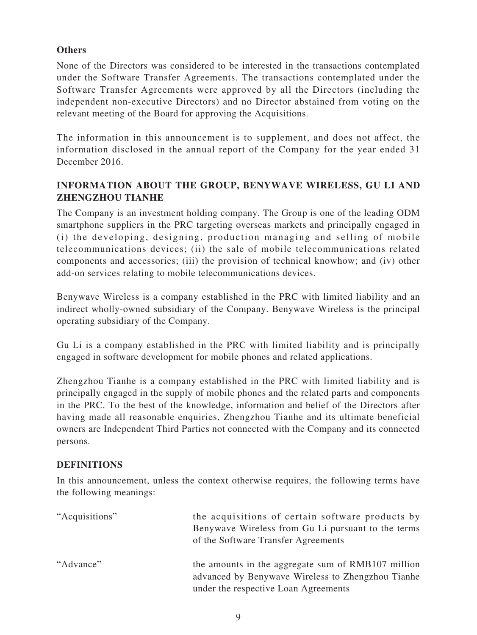## **Others**

None of the Directors was considered to be interested in the transactions contemplated under the Software Transfer Agreements. The transactions contemplated under the Software Transfer Agreements were approved by all the Directors (including the independent non-executive Directors) and no Director abstained from voting on the relevant meeting of the Board for approving the Acquisitions.

The information in this announcement is to supplement, and does not affect, the information disclosed in the annual report of the Company for the year ended 31 December 2016.

## **INFORMATION ABOUT THE GROUP, BENYWAVE WIRELESS, GU LI AND ZHENGZHOU TIANHE**

The Company is an investment holding company. The Group is one of the leading ODM smartphone suppliers in the PRC targeting overseas markets and principally engaged in (i) the developing, designing, production managing and selling of mobile telecommunications devices; (ii) the sale of mobile telecommunications related components and accessories; (iii) the provision of technical knowhow; and (iv) other add-on services relating to mobile telecommunications devices.

Benywave Wireless is a company established in the PRC with limited liability and an indirect wholly-owned subsidiary of the Company. Benywave Wireless is the principal operating subsidiary of the Company.

Gu Li is a company established in the PRC with limited liability and is principally engaged in software development for mobile phones and related applications.

Zhengzhou Tianhe is a company established in the PRC with limited liability and is principally engaged in the supply of mobile phones and the related parts and components in the PRC. To the best of the knowledge, information and belief of the Directors after having made all reasonable enquiries, Zhengzhou Tianhe and its ultimate beneficial owners are Independent Third Parties not connected with the Company and its connected persons.

### **DEFINITIONS**

In this announcement, unless the context otherwise requires, the following terms have the following meanings:

| "Acquisitions" | the acquisitions of certain software products by<br>Benywave Wireless from Gu Li pursuant to the terms<br>of the Software Transfer Agreements   |
|----------------|-------------------------------------------------------------------------------------------------------------------------------------------------|
| "Advance"      | the amounts in the aggregate sum of RMB107 million<br>advanced by Benywave Wireless to Zhengzhou Tianhe<br>under the respective Loan Agreements |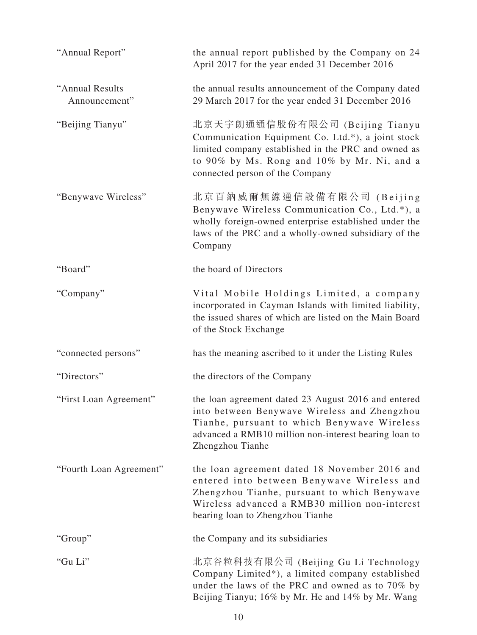| "Annual Report"                  | the annual report published by the Company on 24<br>April 2017 for the year ended 31 December 2016                                                                                                                                |
|----------------------------------|-----------------------------------------------------------------------------------------------------------------------------------------------------------------------------------------------------------------------------------|
| "Annual Results<br>Announcement" | the annual results announcement of the Company dated<br>29 March 2017 for the year ended 31 December 2016                                                                                                                         |
| "Beijing Tianyu"                 | 北京天宇朗通通信股份有限公司 (Beijing Tianyu<br>Communication Equipment Co. Ltd.*), a joint stock<br>limited company established in the PRC and owned as<br>to 90% by Ms. Rong and 10% by Mr. Ni, and a<br>connected person of the Company      |
| "Benywave Wireless"              | 北京百納威爾無線通信設備有限公司 (Beijing<br>Benywave Wireless Communication Co., Ltd.*), a<br>wholly foreign-owned enterprise established under the<br>laws of the PRC and a wholly-owned subsidiary of the<br>Company                           |
| "Board"                          | the board of Directors                                                                                                                                                                                                            |
| "Company"                        | Vital Mobile Holdings Limited, a company<br>incorporated in Cayman Islands with limited liability,<br>the issued shares of which are listed on the Main Board<br>of the Stock Exchange                                            |
| "connected persons"              | has the meaning ascribed to it under the Listing Rules                                                                                                                                                                            |
| "Directors"                      | the directors of the Company                                                                                                                                                                                                      |
| "First Loan Agreement"           | the loan agreement dated 23 August 2016 and entered<br>into between Benywave Wireless and Zhengzhou<br>Tianhe, pursuant to which Benywave Wireless<br>advanced a RMB10 million non-interest bearing loan to<br>Zhengzhou Tianhe   |
| "Fourth Loan Agreement"          | the loan agreement dated 18 November 2016 and<br>entered into between Benywave Wireless and<br>Zhengzhou Tianhe, pursuant to which Benywave<br>Wireless advanced a RMB30 million non-interest<br>bearing loan to Zhengzhou Tianhe |
| "Group"                          | the Company and its subsidiaries                                                                                                                                                                                                  |
| "Gu Li"                          | 北京谷粒科技有限公司 (Beijing Gu Li Technology<br>Company Limited*), a limited company established<br>under the laws of the PRC and owned as to 70% by<br>Beijing Tianyu; 16% by Mr. He and 14% by Mr. Wang                                 |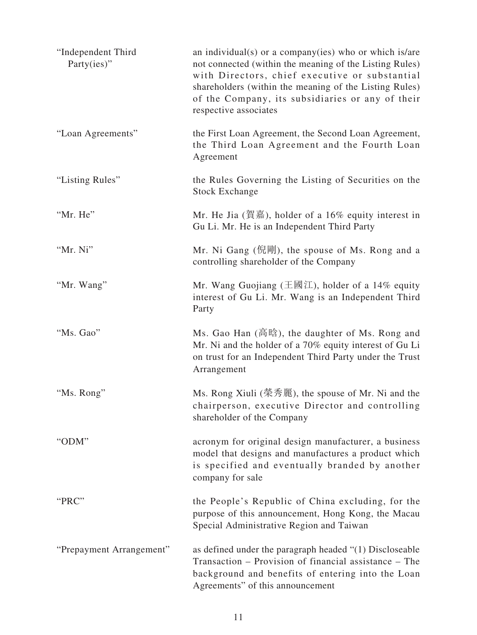| "Independent Third<br>Party(ies)" | an individual(s) or a company(ies) who or which is/are<br>not connected (within the meaning of the Listing Rules)<br>with Directors, chief executive or substantial<br>shareholders (within the meaning of the Listing Rules)<br>of the Company, its subsidiaries or any of their<br>respective associates |
|-----------------------------------|------------------------------------------------------------------------------------------------------------------------------------------------------------------------------------------------------------------------------------------------------------------------------------------------------------|
| "Loan Agreements"                 | the First Loan Agreement, the Second Loan Agreement,<br>the Third Loan Agreement and the Fourth Loan<br>Agreement                                                                                                                                                                                          |
| "Listing Rules"                   | the Rules Governing the Listing of Securities on the<br><b>Stock Exchange</b>                                                                                                                                                                                                                              |
| "Mr. He"                          | Mr. He Jia (賀嘉), holder of a 16% equity interest in<br>Gu Li. Mr. He is an Independent Third Party                                                                                                                                                                                                         |
| "Mr. Ni"                          | Mr. Ni Gang (倪剛), the spouse of Ms. Rong and a<br>controlling shareholder of the Company                                                                                                                                                                                                                   |
| "Mr. Wang"                        | Mr. Wang Guojiang ( $\pm \boxtimes \boxtimes$ ), holder of a 14% equity<br>interest of Gu Li. Mr. Wang is an Independent Third<br>Party                                                                                                                                                                    |
| "Ms. Gao"                         | Ms. Gao Han (高晗), the daughter of Ms. Rong and<br>Mr. Ni and the holder of a 70% equity interest of Gu Li<br>on trust for an Independent Third Party under the Trust<br>Arrangement                                                                                                                        |
| "Ms. Rong"                        | Ms. Rong Xiuli (榮秀麗), the spouse of Mr. Ni and the<br>chairperson, executive Director and controlling<br>shareholder of the Company                                                                                                                                                                        |
| "ODM"                             | acronym for original design manufacturer, a business<br>model that designs and manufactures a product which<br>is specified and eventually branded by another<br>company for sale                                                                                                                          |
| "PRC"                             | the People's Republic of China excluding, for the<br>purpose of this announcement, Hong Kong, the Macau<br>Special Administrative Region and Taiwan                                                                                                                                                        |
| "Prepayment Arrangement"          | as defined under the paragraph headed "(1) Discloseable<br>Transaction – Provision of financial assistance – The<br>background and benefits of entering into the Loan<br>Agreements" of this announcement                                                                                                  |